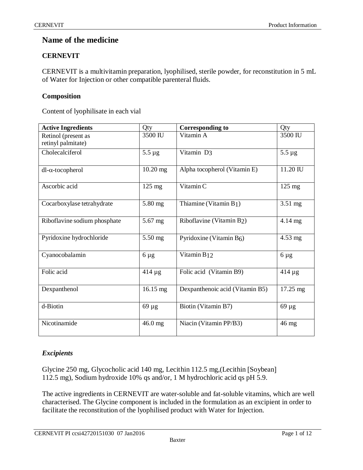# **Name of the medicine**

# **CERNEVIT**

CERNEVIT is a multivitamin preparation, lyophilised, sterile powder, for reconstitution in 5 mL of Water for Injection or other compatible parenteral fluids.

# **Composition**

Content of lyophilisate in each vial

| <b>Active Ingredients</b>                 | Qty              | <b>Corresponding to</b>            | Qty              |
|-------------------------------------------|------------------|------------------------------------|------------------|
| Retinol (present as<br>retinyl palmitate) | 3500 IU          | Vitamin A                          | 3500 IU          |
| Cholecalciferol                           | $5.5 \mu g$      | Vitamin D <sub>3</sub>             | $5.5 \mu g$      |
| $dl$ - $\alpha$ -tocopherol               | $10.20$ mg       | Alpha tocopherol (Vitamin E)       | 11.20 IU         |
| Ascorbic acid                             | $125 \text{ mg}$ | Vitamin C                          | $125 \text{ mg}$ |
| Cocarboxylase tetrahydrate                | 5.80 mg          | Thiamine (Vitamin B <sub>1</sub> ) | $3.51$ mg        |
| Riboflavine sodium phosphate              | $5.67$ mg        | Riboflavine (Vitamin B2)           | $4.14$ mg        |
| Pyridoxine hydrochloride                  | 5.50 mg          | Pyridoxine (Vitamin $B_6$ )        | $4.53$ mg        |
| Cyanocobalamin                            | $6 \mu g$        | Vitamin B <sub>12</sub>            | $6 \mu g$        |
| Folic acid                                | $414 \mu g$      | Folic acid (Vitamin B9)            | $414 \mu g$      |
| Dexpanthenol                              | 16.15 mg         | Dexpanthenoic acid (Vitamin B5)    | 17.25 mg         |
| d-Biotin                                  | $69 \mu g$       | Biotin (Vitamin B7)                | $69 \mu g$       |
| Nicotinamide                              | 46.0 mg          | Niacin (Vitamin PP/B3)             | $46 \text{ mg}$  |

# *Excipients*

Glycine 250 mg, Glycocholic acid 140 mg, Lecithin 112.5 mg,(Lecithin [Soybean] 112.5 mg), Sodium hydroxide 10% qs and/or, 1 M hydrochloric acid qs pH 5.9.

The active ingredients in CERNEVIT are water-soluble and fat-soluble vitamins, which are well characterised. The Glycine component is included in the formulation as an excipient in order to facilitate the reconstitution of the lyophilised product with Water for Injection.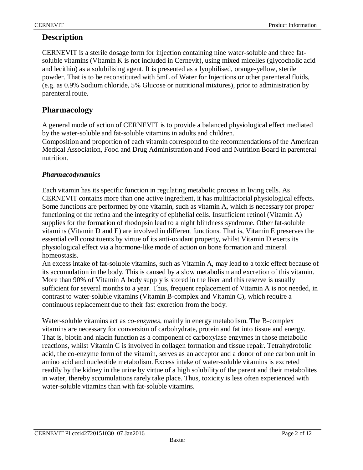# **Description**

CERNEVIT is a sterile dosage form for injection containing nine water-soluble and three fatsoluble vitamins (Vitamin K is not included in Cernevit), using mixed micelles (glycocholic acid and lecithin) as a solubilising agent. It is presented as a lyophilised, orange-yellow, sterile powder. That is to be reconstituted with 5mL of Water for Injections or other parenteral fluids, (e.g. as 0.9% Sodium chloride, 5% Glucose or nutritional mixtures), prior to administration by parenteral route.

# **Pharmacology**

A general mode of action of CERNEVIT is to provide a balanced physiological effect mediated by the water-soluble and fat-soluble vitamins in adults and children.

Composition and proportion of each vitamin correspond to the recommendations of the American Medical Association, Food and Drug Administration and Food and Nutrition Board in parenteral nutrition.

# *Pharmacodynamics*

Each vitamin has its specific function in regulating metabolic process in living cells. As CERNEVIT contains more than one active ingredient, it has multifactorial physiological effects. Some functions are performed by one vitamin, such as vitamin A, which is necessary for proper functioning of the retina and the integrity of epithelial cells. Insufficient retinol (Vitamin A) supplies for the formation of rhodopsin lead to a night blindness syndrome. Other fat-soluble vitamins (Vitamin D and E) are involved in different functions. That is, Vitamin E preserves the essential cell constituents by virtue of its anti-oxidant property, whilst Vitamin D exerts its physiological effect via a hormone-like mode of action on bone formation and mineral homeostasis.

An excess intake of fat-soluble vitamins, such as Vitamin A, may lead to a toxic effect because of its accumulation in the body. This is caused by a slow metabolism and excretion of this vitamin. More than 90% of Vitamin A body supply is stored in the liver and this reserve is usually sufficient for several months to a year. Thus, frequent replacement of Vitamin A is not needed, in contrast to water-soluble vitamins (Vitamin B-complex and Vitamin C), which require a continuous replacement due to their fast excretion from the body.

Water-soluble vitamins act as *co-enzymes*, mainly in energy metabolism. The B-complex vitamins are necessary for conversion of carbohydrate, protein and fat into tissue and energy. That is, biotin and niacin function as a component of carboxylase enzymes in those metabolic reactions, whilst Vitamin C is involved in collagen formation and tissue repair. Tetrahydrofolic acid, the co-enzyme form of the vitamin, serves as an acceptor and a donor of one carbon unit in amino acid and nucleotide metabolism. Excess intake of water-soluble vitamins is excreted readily by the kidney in the urine by virtue of a high solubility of the parent and their metabolites in water, thereby accumulations rarely take place. Thus, toxicity is less often experienced with water-soluble vitamins than with fat-soluble vitamins.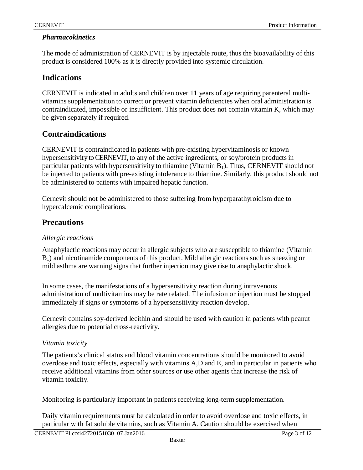## *Pharmacokinetics*

The mode of administration of CERNEVIT is by injectable route, thus the bioavailability of this product is considered 100% as it is directly provided into systemic circulation.

# **Indications**

CERNEVIT is indicated in adults and children over 11 years of age requiring parenteral multivitamins supplementation to correct or prevent vitamin deficiencies when oral administration is contraindicated, impossible or insufficient. This product does not contain vitamin K, which may be given separately if required.

# **Contraindications**

CERNEVIT is contraindicated in patients with pre-existing hypervitaminosis or known hypersensitivity to CERNEVIT, to any of the active ingredients, or soy/protein products in particular patients with hypersensitivity to thiamine (Vitamin  $B_1$ ). Thus, CERNEVIT should not be injected to patients with pre-existing intolerance to thiamine. Similarly, this product should not be administered to patients with impaired hepatic function.

Cernevit should not be administered to those suffering from hyperparathyroidism due to hypercalcemic complications.

# **Precautions**

## *Allergic reactions*

Anaphylactic reactions may occur in allergic subjects who are susceptible to thiamine (Vitamin B1) and nicotinamide components of this product. Mild allergic reactions such as sneezing or mild asthma are warning signs that further injection may give rise to anaphylactic shock.

In some cases, the manifestations of a hypersensitivity reaction during intravenous administration of multivitamins may be rate related. The infusion or injection must be stopped immediately if signs or symptoms of a hypersensitivity reaction develop.

Cernevit contains soy-derived lecithin and should be used with caution in patients with peanut allergies due to potential cross-reactivity.

## *Vitamin toxicity*

The patients's clinical status and blood vitamin concentrations should be monitored to avoid overdose and toxic effects, especially with vitamins A,D and E, and in particular in patients who receive additional vitamins from other sources or use other agents that increase the risk of vitamin toxicity.

Monitoring is particularly important in patients receiving long-term supplementation.

Daily vitamin requirements must be calculated in order to avoid overdose and toxic effects, in particular with fat soluble vitamins, such as Vitamin A. Caution should be exercised when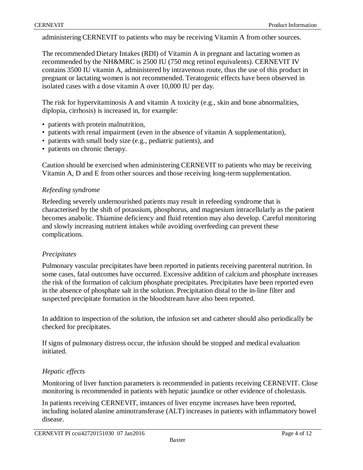administering CERNEVIT to patients who may be receiving Vitamin A from other sources.

The recommended Dietary Intakes (RDI) of Vitamin A in pregnant and lactating women as recommended by the NH&MRC is 2500 IU (750 mcg retinol equivalents). CERNEVIT IV contains 3500 IU vitamin A, administered by intravenous route, thus the use of this product in pregnant or lactating women is not recommended. Teratogenic effects have been observed in isolated cases with a dose vitamin A over 10,000 IU per day.

The risk for hypervitaminosis A and vitamin A toxicity (e.g., skin and bone abnormalities, diplopia, cirrhosis) is increased in, for example:

- patients with protein malnutrition,
- patients with renal impairment (even in the absence of vitamin A supplementation),
- patients with small body size (e.g., pediatric patients), and
- patients on chronic therapy.

Caution should be exercised when administering CERNEVIT to patients who may be receiving Vitamin A, D and E from other sources and those receiving long-term supplementation.

### *Refeeding syndrome*

Refeeding severely undernourished patients may result in refeeding syndrome that is characterised by the shift of potassium, phosphorus, and magnesium intracellularly as the patient becomes anabolic. Thiamine deficiency and fluid retention may also develop. Careful monitoring and slowly increasing nutrient intakes while avoiding overfeeding can prevent these complications.

#### *Precipitates*

Pulmonary vascular precipitates have been reported in patients receiving parenteral nutrition. In some cases, fatal outcomes have occurred. Excessive addition of calcium and phosphate increases the risk of the formation of calcium phosphate precipitates. Precipitates have been reported even in the absence of phosphate salt in the solution. Precipitation distal to the in-line filter and suspected precipitate formation in the bloodstream have also been reported.

In addition to inspection of the solution, the infusion set and catheter should also periodically be checked for precipitates.

If signs of pulmonary distress occur, the infusion should be stopped and medical evaluation initiated.

## *Hepatic effects*

Monitoring of liver function parameters is recommended in patients receiving CERNEVIT. Close monitoring is recommended in patients with hepatic jaundice or other evidence of cholestasis.

In patients receiving CERNEVIT, instances of liver enzyme increases have been reported, including isolated alanine aminotransferase (ALT) increases in patients with inflammatory bowel disease.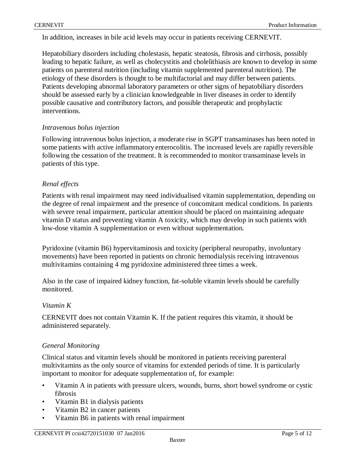In addition, increases in bile acid levels may occur in patients receiving CERNEVIT.

Hepatobiliary disorders including cholestasis, hepatic steatosis, fibrosis and cirrhosis, possibly leading to hepatic failure, as well as cholecystitis and cholelithiasis are known to develop in some patients on parenteral nutrition (including vitamin supplemented parenteral nutrition). The etiology of these disorders is thought to be multifactorial and may differ between patients. Patients developing abnormal laboratory parameters or other signs of hepatobiliary disorders should be assessed early by a clinician knowledgeable in liver diseases in order to identify possible causative and contributory factors, and possible therapeutic and prophylactic interventions.

#### *Intravenous bolus injection*

Following intravenous bolus injection, a moderate rise in SGPT transaminases has been noted in some patients with active inflammatory enterocolitis. The increased levels are rapidly reversible following the cessation of the treatment. It is recommended to monitor transaminase levels in patients of this type.

### *Renal effects*

Patients with renal impairment may need individualised vitamin supplementation, depending on the degree of renal impairment and the presence of concomitant medical conditions. In patients with severe renal impairment, particular attention should be placed on maintaining adequate vitamin D status and preventing vitamin A toxicity, which may develop in such patients with low-dose vitamin A supplementation or even without supplementation.

Pyridoxine (vitamin B6) hypervitaminosis and toxicity (peripheral neuropathy, involuntary movements) have been reported in patients on chronic hemodialysis receiving intravenous multivitamins containing 4 mg pyridoxine administered three times a week.

Also in the case of impaired kidney function, fat-soluble vitamin levels should be carefully monitored.

#### *Vitamin K*

CERNEVIT does not contain Vitamin K. If the patient requires this vitamin, it should be administered separately.

#### *General Monitoring*

Clinical status and vitamin levels should be monitored in patients receiving parenteral multivitamins as the only source of vitamins for extended periods of time. It is particularly important to monitor for adequate supplementation of, for example:

- Vitamin A in patients with pressure ulcers, wounds, burns, short bowel syndrome or cystic fibrosis
- Vitamin B1 in dialysis patients
- Vitamin B2 in cancer patients
- Vitamin B6 in patients with renal impairment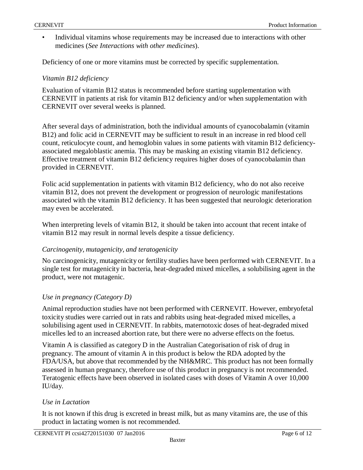• Individual vitamins whose requirements may be increased due to interactions with other medicines (*See Interactions with other medicines*).

Deficiency of one or more vitamins must be corrected by specific supplementation.

#### *Vitamin B12 deficiency*

Evaluation of vitamin B12 status is recommended before starting supplementation with CERNEVIT in patients at risk for vitamin B12 deficiency and/or when supplementation with CERNEVIT over several weeks is planned.

After several days of administration, both the individual amounts of cyanocobalamin (vitamin B12) and folic acid in CERNEVIT may be sufficient to result in an increase in red blood cell count, reticulocyte count, and hemoglobin values in some patients with vitamin B12 deficiencyassociated megaloblastic anemia. This may be masking an existing vitamin B12 deficiency. Effective treatment of vitamin B12 deficiency requires higher doses of cyanocobalamin than provided in CERNEVIT.

Folic acid supplementation in patients with vitamin B12 deficiency, who do not also receive vitamin B12, does not prevent the development or progression of neurologic manifestations associated with the vitamin B12 deficiency. It has been suggested that neurologic deterioration may even be accelerated.

When interpreting levels of vitamin B12, it should be taken into account that recent intake of vitamin B12 may result in normal levels despite a tissue deficiency.

#### *Carcinogenity, mutagenicity, and teratogenicity*

No carcinogenicity, mutagenicity or fertility studies have been performed with CERNEVIT. In a single test for mutagenicity in bacteria, heat-degraded mixed micelles, a solubilising agent in the product, were not mutagenic.

#### *Use in pregnancy (Category D)*

Animal reproduction studies have not been performed with CERNEVIT. However, embryofetal toxicity studies were carried out in rats and rabbits using heat-degraded mixed micelles, a solubilising agent used in CERNEVIT. In rabbits, maternotoxic doses of heat-degraded mixed micelles led to an increased abortion rate, but there were no adverse effects on the foetus.

Vitamin A is classified as category D in the Australian Categorisation of risk of drug in pregnancy. The amount of vitamin A in this product is below the RDA adopted by the FDA/USA, but above that recommended by the NH&MRC. This product has not been formally assessed in human pregnancy, therefore use of this product in pregnancy is not recommended. Teratogenic effects have been observed in isolated cases with doses of Vitamin A over 10,000 IU/day.

#### *Use in Lactation*

It is not known if this drug is excreted in breast milk, but as many vitamins are, the use of this product in lactating women is not recommended.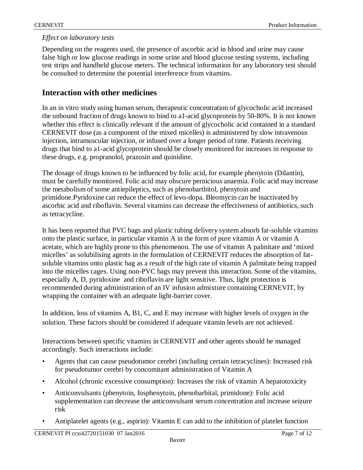## *Effect on laboratory tests*

Depending on the reagents used, the presence of ascorbic acid in blood and urine may cause false high or low glucose readings in some urine and blood glucose testing systems, including test strips and handheld glucose meters. The technical information for any laboratory test should be consulted to determine the potential interference from vitamins.

# **Interaction with other medicines**

In an in vitro study using human serum, therapeutic concentration of glycocholic acid increased the unbound fraction of drugs known to bind to a1-acid glycoprotein by 50-80%. It is not known whether this effect is clinically relevant if the amount of glycocholic acid contained in a standard CERNEVIT dose (as a component of the mixed micelles) is administered by slow intravenous injection, intramuscular injection, or infused over a longer period of time. Patients receiving drugs that bind to a1-acid glycoprotein should be closely monitored for increases in response to these drugs, e.g. propranolol, prazosin and quinidine.

The dosage of drugs known to be influenced by folic acid, for example phenytoin (Dilantin), must be carefully monitored. Folic acid may obscure pernicious anaemia. Folic acid may increase the metabolism of some antiepileptics, such as phenobartbitol, phenytoin and primidone.Pyridoxine can reduce the effect of levo-dopa. Bleomycin can be inactivated by ascorbic acid and riboflavin. Several vitamins can decrease the effectiveness of antibiotics, such as tetracycline.

It has been reported that PVC bags and plastic tubing delivery system absorb fat-soluble vitamins onto the plastic surface, in particular vitamin A in the form of pure vitamin A or vitamin A acetate, which are highly prone to this phenomenon. The use of vitamin A palmitate and 'mixed micelles' as solubilising agents in the formulation of CERNEVIT reduces the absorption of fatsoluble vitamins onto plastic bag as a result of the high rate of vitamin A palmitate being trapped into the micelles cages. Using non-PVC bags may prevent this interaction. Some of the vitamins, especially A, D, pyridoxine and riboflavin are light sensitive. Thus, light protection is recommended during administration of an IV infusion admixture containing CERNEVIT, by wrapping the container with an adequate light-barrier cover.

In addition, loss of vitamins A, B1, C, and E may increase with higher levels of oxygen in the solution. These factors should be considered if adequate vitamin levels are not achieved.

Interactions between specific vitamins in CERNEVIT and other agents should be managed accordingly. Such interactions include:

- Agents that can cause pseudotumor cerebri (including certain tetracyclines): Increased risk for pseudotumor cerebri by concomitant administration of Vitamin A
- Alcohol (chronic excessive consumption): Increases the risk of vitamin A hepatotoxicity
- Anticonvulsants (phenytoin, fosphenytoin, phenobarbital, primidone): Folic acid supplementation can decrease the anticonvulsant serum concentration and increase seizure risk
- Antiplatelet agents (e.g., aspirin): Vitamin E can add to the inhibition of platelet function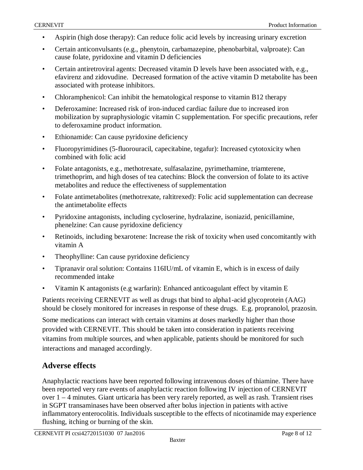- Aspirin (high dose therapy): Can reduce folic acid levels by increasing urinary excretion
- Certain anticonvulsants (e.g., phenytoin, carbamazepine, phenobarbital, valproate): Can cause folate, pyridoxine and vitamin D deficiencies
- Certain antiretroviral agents: Decreased vitamin D levels have been associated with, e.g., efavirenz and zidovudine. Decreased formation of the active vitamin D metabolite has been associated with protease inhibitors.
- Chloramphenicol: Can inhibit the hematological response to vitamin B12 therapy
- Deferoxamine: Increased risk of iron-induced cardiac failure due to increased iron mobilization by supraphysiologic vitamin C supplementation. For specific precautions, refer to deferoxamine product information.
- Ethionamide: Can cause pyridoxine deficiency
- Fluoropyrimidines (5-fluorouracil, capecitabine, tegafur): Increased cytotoxicity when combined with folic acid
- Folate antagonists, e.g., methotrexate, sulfasalazine, pyrimethamine, triamterene, trimethoprim, and high doses of tea catechins: Block the conversion of folate to its active metabolites and reduce the effectiveness of supplementation
- Folate antimetabolites (methotrexate, raltitrexed): Folic acid supplementation can decrease the antimetabolite effects
- Pyridoxine antagonists, including cycloserine, hydralazine, isoniazid, penicillamine, phenelzine: Can cause pyridoxine deficiency
- Retinoids, including bexarotene: Increase the risk of toxicity when used concomitantly with vitamin A
- Theophylline: Can cause pyridoxine deficiency
- Tipranavir oral solution: Contains 116IU/mL of vitamin E, which is in excess of daily recommended intake
- Vitamin K antagonists (e.g warfarin): Enhanced anticoagulant effect by vitamin E

Patients receiving CERNEVIT as well as drugs that bind to alpha1-acid glycoprotein (AAG) should be closely monitored for increases in response of these drugs. E.g. propranolol, prazosin.

Some medications can interact with certain vitamins at doses markedly higher than those provided with CERNEVIT. This should be taken into consideration in patients receiving vitamins from multiple sources, and when applicable, patients should be monitored for such interactions and managed accordingly.

# **Adverse effects**

Anaphylactic reactions have been reported following intravenous doses of thiamine. There have been reported very rare events of anaphylactic reaction following IV injection of CERNEVIT over  $1 - 4$  minutes. Giant urticaria has been very rarely reported, as well as rash. Transient rises in SGPT transaminases have been observed after bolus injection in patients with active inflammatory enterocolitis. Individuals susceptible to the effects of nicotinamide may experience flushing, itching or burning of the skin.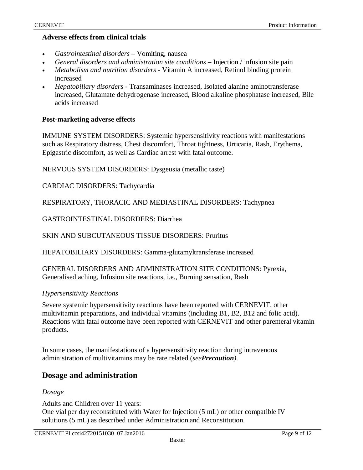## **Adverse effects from clinical trials**

- *Gastrointestinal disorders* Vomiting, nausea
- *General disorders and administration site conditions* Injection / infusion site pain
- *Metabolism and nutrition disorders* Vitamin A increased, Retinol binding protein increased
- *Hepatobiliary disorders* Transaminases increased, Isolated alanine aminotransferase increased, Glutamate dehydrogenase increased, Blood alkaline phosphatase increased, Bile acids increased

## **Post-marketing adverse effects**

IMMUNE SYSTEM DISORDERS: Systemic hypersensitivity reactions with manifestations such as Respiratory distress, Chest discomfort, Throat tightness, Urticaria, Rash, Erythema, Epigastric discomfort, as well as Cardiac arrest with fatal outcome.

NERVOUS SYSTEM DISORDERS: Dysgeusia (metallic taste)

CARDIAC DISORDERS: Tachycardia

RESPIRATORY, THORACIC AND MEDIASTINAL DISORDERS: Tachypnea

GASTROINTESTINAL DISORDERS: Diarrhea

SKIN AND SUBCUTANEOUS TISSUE DISORDERS: Pruritus

HEPATOBILIARY DISORDERS: Gamma-glutamyltransferase increased

GENERAL DISORDERS AND ADMINISTRATION SITE CONDITIONS: Pyrexia, Generalised aching, Infusion site reactions, i.e., Burning sensation, Rash

## *Hypersensitivity Reactions*

Severe systemic hypersensitivity reactions have been reported with CERNEVIT, other multivitamin preparations, and individual vitamins (including B1, B2, B12 and folic acid). Reactions with fatal outcome have been reported with CERNEVIT and other parenteral vitamin products.

In some cases, the manifestations of a hypersensitivity reaction during intravenous administration of multivitamins may be rate related (*seePrecaution).*

# **Dosage and administration**

#### *Dosage*

Adults and Children over 11 years:

One vial per day reconstituted with Water for Injection (5 mL) or other compatible IV solutions (5 mL) as described under Administration and Reconstitution.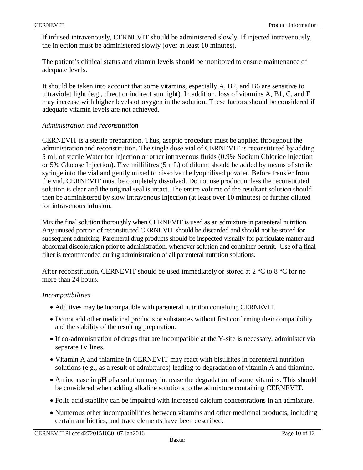If infused intravenously, CERNEVIT should be administered slowly. If injected intravenously, the injection must be administered slowly (over at least 10 minutes).

The patient's clinical status and vitamin levels should be monitored to ensure maintenance of adequate levels.

It should be taken into account that some vitamins, especially A, B2, and B6 are sensitive to ultraviolet light (e.g., direct or indirect sun light). In addition, loss of vitamins A, B1, C, and E may increase with higher levels of oxygen in the solution. These factors should be considered if adequate vitamin levels are not achieved.

### *Administration and reconstitution*

CERNEVIT is a sterile preparation. Thus, aseptic procedure must be applied throughout the administration and reconstitution. The single dose vial of CERNEVIT is reconstituted by adding 5 mL of sterile Water for Injection or other intravenous fluids (0.9% Sodium Chloride Injection or 5% Glucose Injection). Five millilitres (5 mL) of diluent should be added by means of sterile syringe into the vial and gently mixed to dissolve the lyophilised powder. Before transfer from the vial, CERNEVIT must be completely dissolved. Do not use product unless the reconstituted solution is clear and the original seal is intact. The entire volume of the resultant solution should then be administered by slow Intravenous Injection (at least over 10 minutes) or further diluted for intravenous infusion.

Mix the final solution thoroughly when CERNEVIT is used as an admixture in parenteral nutrition. Any unused portion of reconstituted CERNEVIT should be discarded and should not be stored for subsequent admixing. Parenteral drug products should be inspected visually for particulate matter and abnormal discoloration prior to administration, whenever solution and container permit. Use of a final filter is recommended during administration of all parenteral nutrition solutions.

After reconstitution, CERNEVIT should be used immediately or stored at  $2^{\circ}$ C to  $8^{\circ}$ C for no more than 24 hours.

## *Incompatibilities*

- Additives may be incompatible with parenteral nutrition containing CERNEVIT.
- Do not add other medicinal products or substances without first confirming their compatibility and the stability of the resulting preparation.
- If co-administration of drugs that are incompatible at the Y-site is necessary, administer via separate IV lines.
- Vitamin A and thiamine in CERNEVIT may react with bisulfites in parenteral nutrition solutions (e.g., as a result of admixtures) leading to degradation of vitamin A and thiamine.
- An increase in pH of a solution may increase the degradation of some vitamins. This should be considered when adding alkaline solutions to the admixture containing CERNEVIT.
- Folic acid stability can be impaired with increased calcium concentrations in an admixture.
- Numerous other incompatibilities between vitamins and other medicinal products, including certain antibiotics, and trace elements have been described.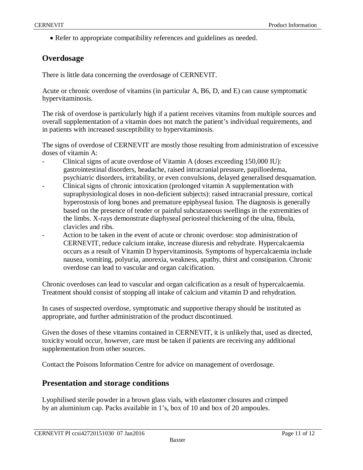• Refer to appropriate compatibility references and guidelines as needed.

# **Overdosage**

There is little data concerning the overdosage of CERNEVIT.

Acute or chronic overdose of vitamins (in particular A, B6, D, and E) can cause symptomatic hypervitaminosis.

The risk of overdose is particularly high if a patient receives vitamins from multiple sources and overall supplementation of a vitamin does not match the patient's individual requirements, and in patients with increased susceptibility to hypervitaminosis.

The signs of overdose of CERNEVIT are mostly those resulting from administration of excessive doses of vitamin A:

- Clinical signs of acute overdose of Vitamin A (doses exceeding 150,000 IU): gastrointestinal disorders, headache, raised intracranial pressure, papilloedema, psychiatric disorders, irritability, or even convulsions, delayed generalised desquamation.
- Clinical signs of chronic intoxication (prolonged vitamin A supplementation with supraphysiological doses in non-deficient subjects): raised intracranial pressure, cortical hyperostosis of long bones and premature epiphyseal fusion. The diagnosis is generally based on the presence of tender or painful subcutaneous swellings in the extremities of the limbs. X-rays demonstrate diaphyseal periosteal thickening of the ulna, fibula, clavicles and ribs.
- Action to be taken in the event of acute or chronic overdose: stop administration of CERNEVIT, reduce calcium intake, increase diuresis and rehydrate. Hypercalcaemia occurs as a result of Vitamin D hypervitaminosis. Symptoms of hypercalcaemia include nausea, vomiting, polyuria, anorexia, weakness, apathy, thirst and constipation. Chronic overdose can lead to vascular and organ calcification.

Chronic overdoses can lead to vascular and organ calcification as a result of hypercalcaemia. Treatment should consist of stopping all intake of calcium and vitamin D and rehydration.

In cases of suspected overdose, symptomatic and supportive therapy should be instituted as appropriate, and further administration of the product discontinued.

Given the doses of these vitamins contained in CERNEVIT, it is unlikely that, used as directed, toxicity would occur, however, care must be taken if patients are receiving any additional supplementation from other sources.

Contact the Poisons Information Centre for advice on management of overdosage.

# **Presentation and storage conditions**

Lyophilised sterile powder in a brown glass vials, with elastomer closures and crimped by an aluminium cap. Packs available in 1's, box of 10 and box of 20 ampoules.